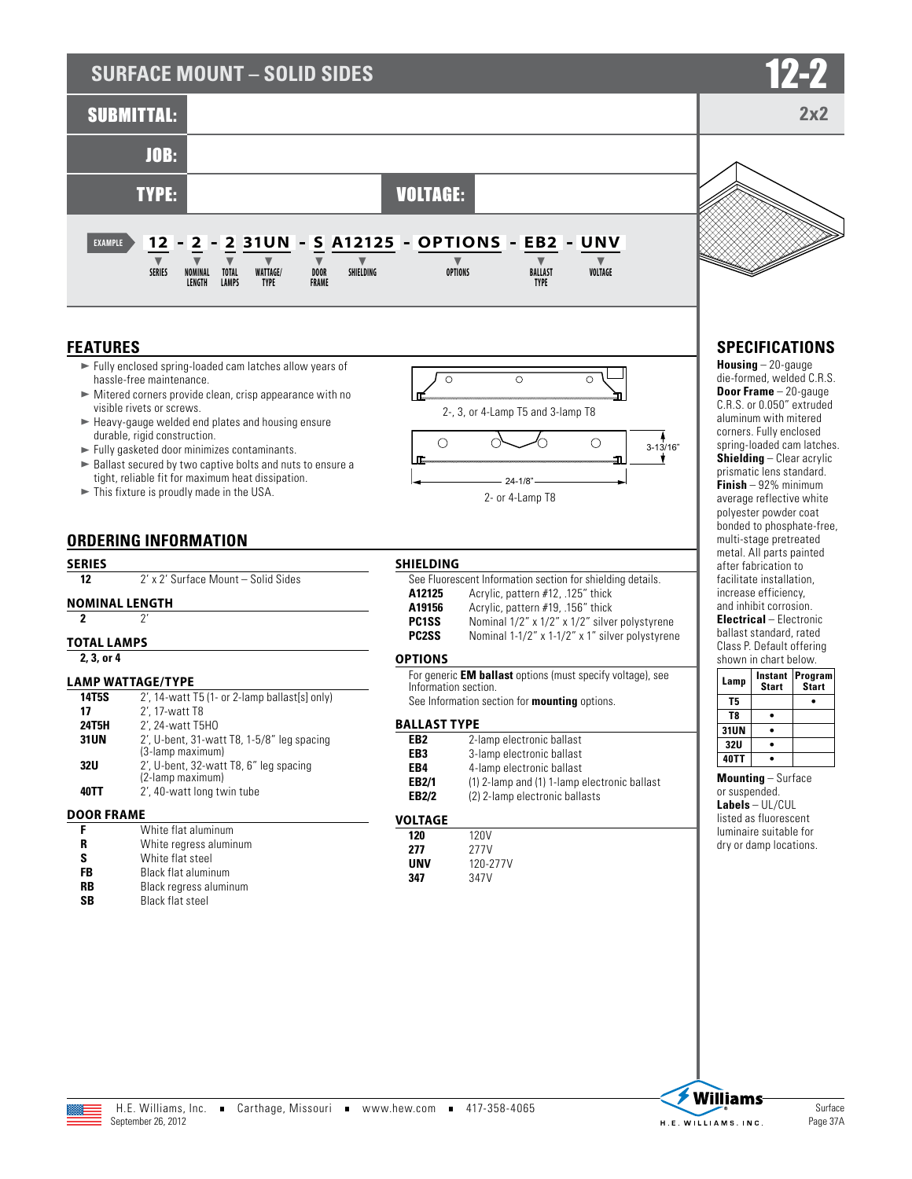# **SURFACE MOUNT - SOLID SIDES**



## **FEATURES**

- $\blacktriangleright$  Fully enclosed spring-loaded cam latches allow years of hassle-free maintenance.
- $\blacktriangleright$  Mitered corners provide clean, crisp appearance with no visible rivets or screws.
- $\blacktriangleright$  Heavy-gauge welded end plates and housing ensure durable, rigid construction.
- $\blacktriangleright$  Fully gasketed door minimizes contaminants.
- $\blacktriangleright$  Ballast secured by two captive bolts and nuts to ensure a tight, reliable fit for maximum heat dissipation.
- $\blacktriangleright$  This fixture is proudly made in the USA.

### **ORDERING INFORMATION**

#### **SERIES**

12 2' x 2' Surface Mount – Solid Sides

#### **NOMINAL LENGTH**

**2** 2'

#### **TOTAL LAMPS**

**2, 3, or 4**

#### **LAMP WATTAGE/TYPE**

| 14T5S        | 2', 14-watt T5 (1- or 2-lamp ballast[s] only)                     |
|--------------|-------------------------------------------------------------------|
| 17           | 2', 17-watt T8                                                    |
| <b>24T5H</b> | 2', 24-watt T5H0                                                  |
| <b>31UN</b>  | $2'$ , U-bent, 31-watt T8, 1-5/8" leg spacing<br>(3-lamp maximum) |
| 32U          | 2', U-bent, 32-watt T8, 6" leg spacing<br>(2-lamp maximum)        |
| 40TT         | 2', 40-watt long twin tube                                        |

#### **DOOR FRAME**

|    | White flat aluminum        |
|----|----------------------------|
| R  | White regress aluminum     |
| ς  | White flat steel           |
| FB | <b>Black flat aluminum</b> |
| RR | Black regress aluminum     |
| SR | <b>Black flat steel</b>    |



2- or 4-Lamp T8

| SHIELDING          |                                                            |
|--------------------|------------------------------------------------------------|
|                    | See Fluorescent Information section for shielding details. |
| A12125             | Acrylic, pattern #12, .125" thick                          |
| A19156             | Acrylic, pattern #19, .156" thick                          |
| PC <sub>1</sub> SS | Nominal 1/2" x 1/2" x 1/2" silver polystyrene              |
| <b>PC2SS</b>       | Nominal 1-1/2" x 1-1/2" x 1" silver polystyrene            |

#### **OPTIONS**

For generic **EM ballast** options (must specify voltage), see Information section.

See Information section for **mounting** options.

#### **BALLAST TYPE**

| EB2   | 2-lamp electronic ballast                    |
|-------|----------------------------------------------|
| EB3   | 3-lamp electronic ballast                    |
| EB4   | 4-lamp electronic ballast                    |
| EB2/1 | (1) 2-lamp and (1) 1-lamp electronic ballast |
| EB2/2 | (2) 2-lamp electronic ballasts               |
|       |                                              |

#### **VOLTAGE**

| 120 | 120V     |
|-----|----------|
| 277 | 277V     |
| UNV | 120-277V |
| 347 | 347V     |



**2x2**

# **SPECIFICATIONS**

**Housing** – 20-gauge die-formed, welded C.R.S. **Door Frame** – 20-gauge C.R.S. or 0.050" extruded aluminum with mitered corners. Fully enclosed spring-loaded cam latches. **Shielding** – Clear acrylic prismatic lens standard. **Finish** – 92% minimum average reflective white polyester powder coat bonded to phosphate-free, multi-stage pretreated metal. All parts painted after fabrication to facilitate installation, increase efficiency, and inhibit corrosion.

**Electrical** – Electronic ballast standard, rated Class P. Default offering shown in chart below.

| Lamp       | Instant<br><b>Start</b> | Program<br><b>Start</b> |
|------------|-------------------------|-------------------------|
| T5         |                         |                         |
| T8         |                         |                         |
| 31UN       |                         |                         |
| <b>32U</b> |                         |                         |
| 40TT       |                         |                         |

**Mounting** – Surface

or suspended. **Labels** – UL/CUL listed as fluorescent luminaire suitable for dry or damp locations.